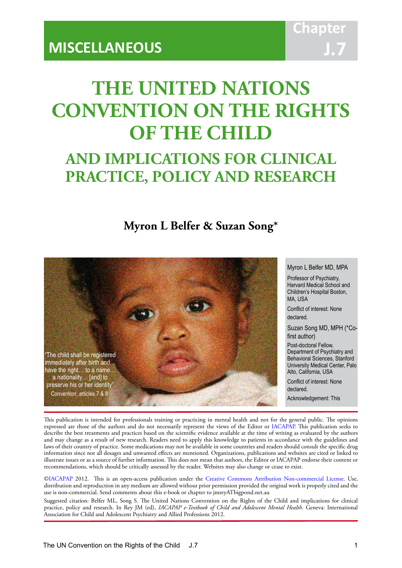# **THE UNITED NATIONS CONVENTION ON THE RIGHTS OF THE CHILD**

IACAPAP Textbook of Child and Adolescent Mental Health

# **AND IMPLICATIONS FOR CLINICAL PRACTICE, POLICY AND RESEARCH**

# **Myron L Belfer & Suzan Song\***



#### Myron L Belfer MD, MPA

Professor of Psychiatry, Harvard Medical School and Children's Hospital Boston, MA, USA

Conflict of interest: None declared.

Suzan Song MD, MPH (\*Cofirst author)

Post-doctoral Fellow, Department of Psychiatry and Behavioral Sciences, Stanford University Medical Center, Palo Alto, California, USA

Conflict of interest: None declared. Acknowledgement: This

This publication is intended for professionals training or practicing in mental health and not for the general public. The opinions expressed are those of the authors and do not necessarily represent the views of the Editor or [IACAPAP](http://iacapap.org). This publication seeks to describe the best treatments and practices based on the scientific evidence available at the time of writing as evaluated by the authors and may change as a result of new research. Readers need to apply this knowledge to patients in accordance with the guidelines and laws of their country of practice. Some medications may not be available in some countries and readers should consult the specific drug information since not all dosages and unwanted effects are mentioned. Organizations, publications and websites are cited or linked to illustrate issues or as a source of further information. This does not mean that authors, the Editor or IACAPAP endorse their content or recommendations, which should be critically assessed by the reader. Websites may also change or cease to exist.

[©IACAPAP](http://iacapap.org) 2012. This is an open-access publication under the [Creative Commons Attribution Non-commercial License](http://creativecommons.org). Use, distribution and reproduction in any medium are allowed without prior permission provided the original work is properly cited and the use is non-commercial. Send comments about this e-book or chapter to jmreyATbigpond.net.au

Suggested citation: Belfer ML, Song S. The United Nations Convention on the Rights of the Child and implications for clinical practice, policy and research. In Rey JM (ed), *IACAPAP e-Textbook of Child and Adolescent Mental Health*. Geneva: International Association for Child and Adolescent Psychiatry and Allied Professions 2012.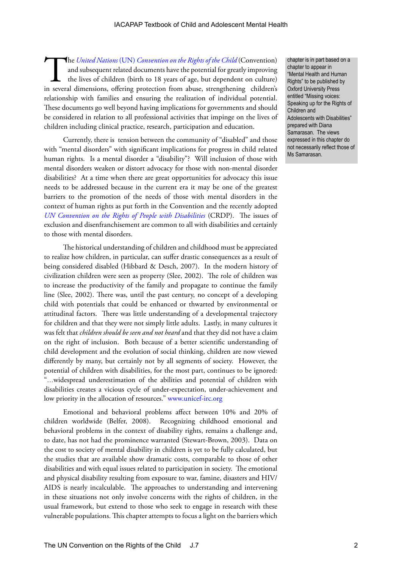The *United Nations* (UN) *Convention on the Rights of the Child* (Convention) and subsequent related documents have the potential for greatly improving the lives of children (birth to 18 years of age, but dependent on cul and subsequent related documents have the potential for greatly improving the lives of children (birth to 18 years of age, but dependent on culture) in several dimensions, offering protection from abuse, strengthening children's relationship with families and ensuring the realization of individual potential. These documents go well beyond having implications for governments and should be considered in relation to all professional activities that impinge on the lives of children including clinical practice, research, participation and education.

Currently, there is tension between the community of "disabled" and those with "mental disorders" with significant implications for progress in child related human rights. Is a mental disorder a "disability"? Will inclusion of those with mental disorders weaken or distort advocacy for those with non-mental disorder disabilities? At a time when there are great opportunities for advocacy this issue needs to be addressed because in the current era it may be one of the greatest barriers to the promotion of the needs of those with mental disorders in the context of human rights as put forth in the Convention and the recently adopted *[UN Convention on the Rights of People with Disabilities](http://www.un.org/disabilities/convention/conventionfull.shtml)* (CRDP). The issues of exclusion and disenfranchisement are common to all with disabilities and certainly to those with mental disorders.

The historical understanding of children and childhood must be appreciated to realize how children, in particular, can suffer drastic consequences as a result of being considered disabled (Hibbard & Desch, 2007). In the modern history of civilization children were seen as property (Slee, 2002). The role of children was to increase the productivity of the family and propagate to continue the family line (Slee, 2002). There was, until the past century, no concept of a developing child with potentials that could be enhanced or thwarted by environmental or attitudinal factors. There was little understanding of a developmental trajectory for children and that they were not simply little adults. Lastly, in many cultures it was felt that *children should be seen and not heard* and that they did not have a claim on the right of inclusion. Both because of a better scientific understanding of child development and the evolution of social thinking, children are now viewed differently by many, but certainly not by all segments of society. However, the potential of children with disabilities, for the most part, continues to be ignored: "…widespread underestimation of the abilities and potential of children with disabilities creates a vicious cycle of under-expectation, under-achievement and low priority in the allocation of resources." [www.unicef-irc.org](http://www.unicef-irc.org)

Emotional and behavioral problems affect between 10% and 20% of children worldwide (Belfer, 2008). Recognizing childhood emotional and behavioral problems in the context of disability rights, remains a challenge and, to date, has not had the prominence warranted (Stewart-Brown, 2003). Data on the cost to society of mental disability in children is yet to be fully calculated, but the studies that are available show dramatic costs, comparable to those of other disabilities and with equal issues related to participation in society. The emotional and physical disability resulting from exposure to war, famine, disasters and HIV/ AIDS is nearly incalculable. The approaches to understanding and intervening in these situations not only involve concerns with the rights of children, in the usual framework, but extend to those who seek to engage in research with these vulnerable populations. This chapter attempts to focus a light on the barriers which

chapter is in part based on a chapter to appear in "Mental Health and Human Rights" to be published by Oxford University Press entitled "Missing voices: Speaking up for the Rights of Children and Adolescents with Disabilities" prepared with Diana Samarasan. The views expressed in this chapter do not necessarily reflect those of Ms Samarasan.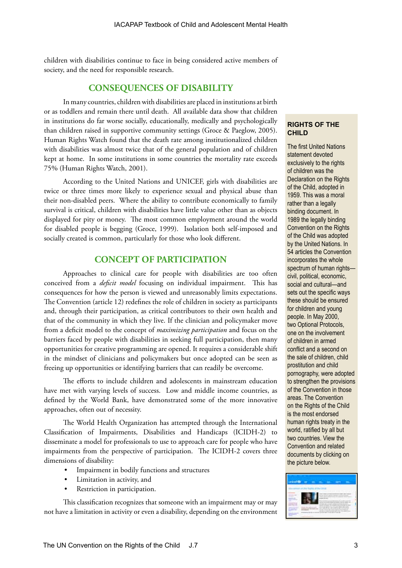children with disabilities continue to face in being considered active members of society, and the need for responsible research.

# **CONSEQUENCES OF DISABILITY**

In many countries, children with disabilities are placed in institutions at birth or as toddlers and remain there until death. All available data show that children in institutions do far worse socially, educationally, medically and psychologically than children raised in supportive community settings (Groce & Paeglow, 2005). Human Rights Watch found that the death rate among institutionalized children with disabilities was almost twice that of the general population and of children kept at home. In some institutions in some countries the mortality rate exceeds 75% (Human Rights Watch, 2001).

According to the United Nations and UNICEF, girls with disabilities are twice or three times more likely to experience sexual and physical abuse than their non-disabled peers. Where the ability to contribute economically to family survival is critical, children with disabilities have little value other than as objects displayed for pity or money. The most common employment around the world for disabled people is begging (Groce, 1999). Isolation both self-imposed and socially created is common, particularly for those who look different.

# **CONCEPT OF PARTICIPATION**

Approaches to clinical care for people with disabilities are too often conceived from a *deficit model* focusing on individual impairment. This has consequences for how the person is viewed and unreasonably limits expectations. The Convention (article 12) redefines the role of children in society as participants and, through their participation, as critical contributors to their own health and that of the community in which they live. If the clinician and policymaker move from a deficit model to the concept of *maximizing participation* and focus on the barriers faced by people with disabilities in seeking full participation, then many opportunities for creative programming are opened. It requires a considerable shift in the mindset of clinicians and policymakers but once adopted can be seen as freeing up opportunities or identifying barriers that can readily be overcome.

The efforts to include children and adolescents in mainstream education have met with varying levels of success. Low and middle income countries, as defined by the World Bank, have demonstrated some of the more innovative approaches, often out of necessity.

The World Health Organization has attempted through the International Classification of Impairments, Disabilities and Handicaps (ICIDH-2) to disseminate a model for professionals to use to approach care for people who have impairments from the perspective of participation. The ICIDH-2 covers three dimensions of disability:

- Impairment in bodily functions and structures
- Limitation in activity, and
- Restriction in participation.

This classification recognizes that someone with an impairment may or may not have a limitation in activity or even a disability, depending on the environment

#### **RIGHTS OF THE CHILD**

The first United Nations statement devoted exclusively to the rights of children was the Declaration on the Rights of the Child, adopted in 1959. This was a moral rather than a legally binding document. In 1989 the legally binding Convention on the Rights of the Child was adopted by the United Nations. In 54 articles the Convention incorporates the whole spectrum of human rights civil, political, economic, social and cultural—and sets out the specific ways these should be ensured for children and young people. In May 2000, two Optional Protocols, one on the involvement of children in armed conflict and a second on the sale of children, child prostitution and child pornography, were adopted to strengthen the provisions of the Convention in those areas. The Convention on the Rights of the Child is the most endorsed human rights treaty in the world, ratified by all but two countries. View the Convention and related documents by clicking on the picture below.

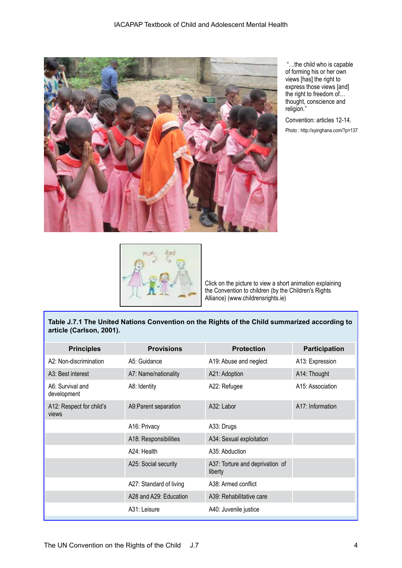

 "…the child who is capable of forming his or her own views [has] the right to express those views [and] the right to freedom of… thought, conscience and religion."

Convention: articles 12-14. Photo : http://syinghana.com/?p=137



Click on the picture to view a short animation explaining the Convention to children (by the Children's Rights Alliance) (www.childrensrights.ie)

### **Table J.7.1 The United Nations Convention on the Rights of the Child summarized according to article (Carlson, 2001).**

| <b>Principles</b>                 | <b>Provisions</b>       | <b>Protection</b>                          | <b>Participation</b> |
|-----------------------------------|-------------------------|--------------------------------------------|----------------------|
| A2: Non-discrimination            | A5: Guidance            | A19: Abuse and neglect                     | A13: Expression      |
| A3: Best interest                 | A7: Name/nationality    | A21: Adoption                              | A14: Thought         |
| A6: Survival and<br>development   | A8: Identity            | A22: Refugee                               | A15: Association     |
| A12: Respect for child's<br>views | A9: Parent separation   | A32: Labor                                 | A17: Information     |
|                                   | A16: Privacy            | A33: Drugs                                 |                      |
|                                   | A18: Responsibilities   | A34: Sexual exploitation                   |                      |
|                                   | A24: Health             | A35: Abduction                             |                      |
|                                   | A25: Social security    | A37: Torture and deprivation of<br>liberty |                      |
|                                   | A27: Standard of living | A38: Armed conflict                        |                      |
|                                   | A28 and A29: Education  | A39: Rehabilitative care                   |                      |
|                                   | A31: Leisure            | A40: Juvenile justice                      |                      |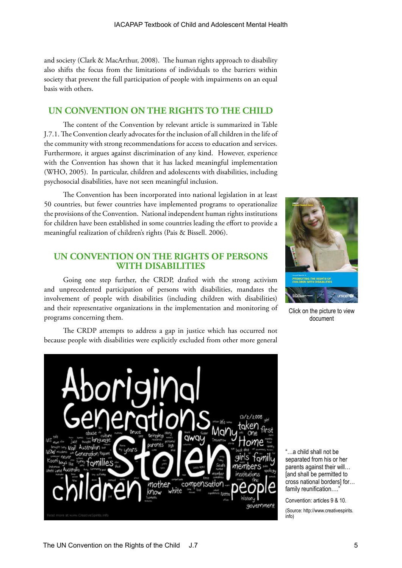and society (Clark & MacArthur, 2008). The human rights approach to disability also shifts the focus from the limitations of individuals to the barriers within society that prevent the full participation of people with impairments on an equal basis with others.

# **UN CONVENTION ON THE RIGHTS TO THE CHILD**

The content of the Convention by relevant article is summarized in Table J.7.1. The Convention clearly advocates for the inclusion of all children in the life of the community with strong recommendations for access to education and services. Furthermore, it argues against discrimination of any kind. However, experience with the Convention has shown that it has lacked meaningful implementation (WHO, 2005). In particular, children and adolescents with disabilities, including psychosocial disabilities, have not seen meaningful inclusion.

The Convention has been incorporated into national legislation in at least 50 countries, but fewer countries have implemented programs to operationalize the provisions of the Convention. National independent human rights institutions for children have been established in some countries leading the effort to provide a meaningful realization of children's rights (Pais & Bissell. 2006).

# **UN CONVENTION ON THE RIGHTS OF PERSONS WITH DISABILITIES**

Going one step further, the CRDP, drafted with the strong activism and unprecedented participation of persons with disabilities, mandates the involvement of people with disabilities (including children with disabilities) and their representative organizations in the implementation and monitoring of programs concerning them.

Click on the picture to view document

The CRDP attempts to address a gap in justice which has occurred not because people with disabilities were explicitly excluded from other more general



"…a child shall not be separated from his or her parents against their will… [and shall be permitted to cross national borders] for… family reunification...."

Convention: articles 9 & 10. (Source: http://www.creativespirits. info)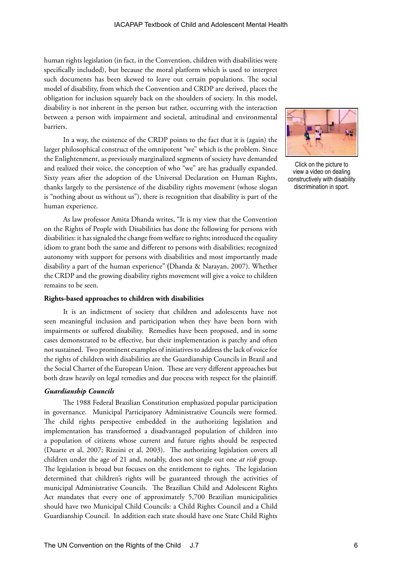human rights legislation (in fact, in the Convention, children with disabilities were specifically included), but because the moral platform which is used to interpret such documents has been skewed to leave out certain populations. The social model of disability, from which the Convention and CRDP are derived, places the obligation for inclusion squarely back on the shoulders of society. In this model, disability is not inherent in the person but rather, occurring with the interaction between a person with impairment and societal, attitudinal and environmental barriers.

In a way, the existence of the CRDP points to the fact that it is (again) the larger philosophical construct of the omnipotent "we" which is the problem. Since the Enlightenment, as previously marginalized segments of society have demanded and realized their voice, the conception of who "we" are has gradually expanded. Sixty years after the adoption of the Universal Declaration on Human Rights, thanks largely to the persistence of the disability rights movement (whose slogan is "nothing about us without us"), there is recognition that disability is part of the human experience.

As law professor Amita Dhanda writes, "It is my view that the Convention on the Rights of People with Disabilities has done the following for persons with disabilities: it has signaled the change from welfare to rights; introduced the equality idiom to grant both the same and different to persons with disabilities; recognized autonomy with support for persons with disabilities and most importantly made disability a part of the human experience" (Dhanda & Narayan, 2007). Whether the CRDP and the growing disability rights movement will give a voice to children remains to be seen.

#### **Rights-based approaches to children with disabilities**

It is an indictment of society that children and adolescents have not seen meaningful inclusion and participation when they have been born with impairments or suffered disability. Remedies have been proposed, and in some cases demonstrated to be effective, but their implementation is patchy and often not sustained. Two prominent examples of initiatives to address the lack of voice for the rights of children with disabilities are the Guardianship Councils in Brazil and the Social Charter of the European Union. These are very different approaches but both draw heavily on legal remedies and due process with respect for the plaintiff.

#### *Guardianship Councils*

The 1988 Federal Brazilian Constitution emphasized popular participation in governance. Municipal Participatory Administrative Councils were formed. The child rights perspective embedded in the authorizing legislation and implementation has transformed a disadvantaged population of children into a population of citizens whose current and future rights should be respected (Duarte et al, 2007; Rizzini et al, 2003). The authorizing legislation covers all children under the age of 21 and, notably, does not single out one *at risk* group. The legislation is broad but focuses on the entitlement to rights. The legislation determined that children's rights will be guaranteed through the activities of municipal Administrative Councils. The Brazilian Child and Adolescent Rights Act mandates that every one of approximately 5,700 Brazilian municipalities should have two Municipal Child Councils: a Child Rights Council and a Child Guardianship Council. In addition each state should have one State Child Rights



Click on the picture to view a video on dealing constructively with disability discrimination in sport.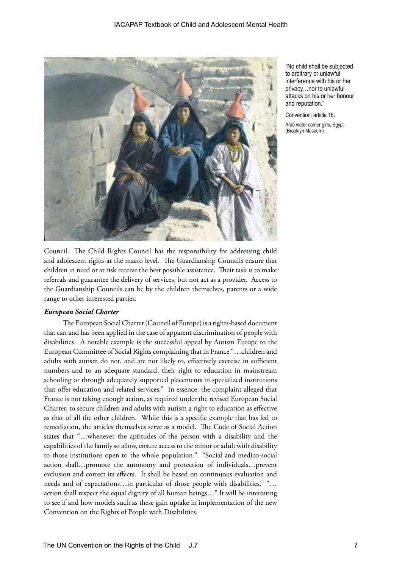

"No child shall be subjected to arbitrary or unlawful interference with his or her privacy…nor to unlawful attacks on his or her honour and reputation."

Convention: article 16.

Arab water carrier girls, Egypt (Brooklyn Museum)

Council. The Child Rights Council has the responsibility for addressing child and adolescent rights at the macro level. The Guardianship Councils ensure that children in need or at risk receive the best possible assistance. Their task is to make referrals and guarantee the delivery of services, but not act as a provider. Access to the Guardianship Councils can be by the children themselves, parents or a wide range to other interested parties.

#### *European Social Charter*

The European Social Charter (Council of Europe) is a rights-based document that can and has been applied in the case of apparent discrimination of people with disabilities. A notable example is the successful appeal by Autism Europe to the European Committee of Social Rights complaining that in France "…children and adults with autism do not, and are not likely to, effectively exercise in sufficient numbers and to an adequate standard, their right to education in mainstream schooling or through adequately supported placements in specialized institutions that offer education and related services." In essence, the complaint alleged that France is not taking enough action, as required under the revised European Social Charter, to secure children and adults with autism a right to education as effective as that of all the other children. While this is a specific example that has led to remediation, the articles themselves serve as a model. The Code of Social Action states that "…whenever the aptitudes of the person with a disability and the capabilities of the family so allow, ensure access to the minor or adult with disability to those institutions open to the whole population." "Social and medico-social action shall…promote the autonomy and protection of individuals…prevent exclusion and correct its effects. It shall be based on continuous evaluation and needs and of expectations…in particular of those people with disabilities." "… action shall respect the equal dignity of all human beings…" It will be interesting to see if and how models such as these gain uptake in implementation of the new Convention on the Rights of People with Disabilities.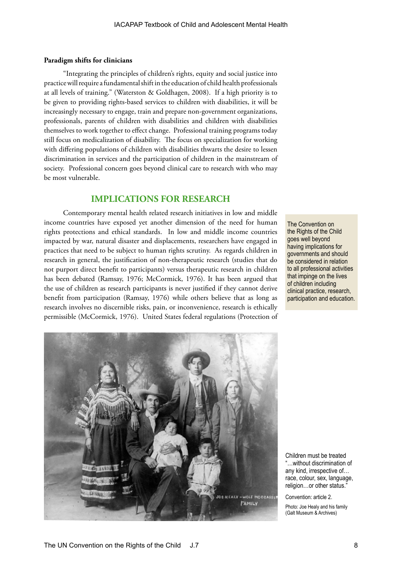#### **Paradigm shifts for clinicians**

"Integrating the principles of children's rights, equity and social justice into practice will require a fundamental shift in the education of child health professionals at all levels of training." (Waterston & Goldhagen, 2008). If a high priority is to be given to providing rights-based services to children with disabilities, it will be increasingly necessary to engage, train and prepare non-government organizations, professionals, parents of children with disabilities and children with disabilities themselves to work together to effect change. Professional training programs today still focus on medicalization of disability. The focus on specialization for working with differing populations of children with disabilities thwarts the desire to lessen discrimination in services and the participation of children in the mainstream of society. Professional concern goes beyond clinical care to research with who may be most vulnerable.

# **IMPLICATIONS FOR RESEARCH**

Contemporary mental health related research initiatives in low and middle income countries have exposed yet another dimension of the need for human rights protections and ethical standards. In low and middle income countries impacted by war, natural disaster and displacements, researchers have engaged in practices that need to be subject to human rights scrutiny. As regards children in research in general, the justification of non-therapeutic research (studies that do not purport direct benefit to participants) versus therapeutic research in children has been debated (Ramsay, 1976; McCormick, 1976). It has been argued that the use of children as research participants is never justified if they cannot derive benefit from participation (Ramsay, 1976) while others believe that as long as research involves no discernible risks, pain, or inconvenience, research is ethically permissible (McCormick, 1976). United States federal regulations (Protection of

The Convention on the Rights of the Child goes well beyond having implications for governments and should be considered in relation to all professional activities that impinge on the lives of children including clinical practice, research, participation and education.



Children must be treated "…without discrimination of any kind, irrespective of… race, colour, sex, language, religion…or other status."

Convention: article 2.

Photo: Joe Healy and his family (Galt Museum & Archives)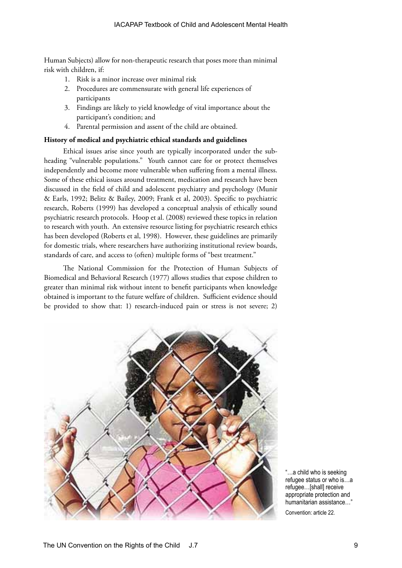Human Subjects) allow for non-therapeutic research that poses more than minimal risk with children, if:

- 1. Risk is a minor increase over minimal risk
- 2. Procedures are commensurate with general life experiences of participants
- 3. Findings are likely to yield knowledge of vital importance about the participant's condition; and
- 4. Parental permission and assent of the child are obtained.

#### **History of medical and psychiatric ethical standards and guidelines**

Ethical issues arise since youth are typically incorporated under the subheading "vulnerable populations." Youth cannot care for or protect themselves independently and become more vulnerable when suffering from a mental illness. Some of these ethical issues around treatment, medication and research have been discussed in the field of child and adolescent psychiatry and psychology (Munir & Earls, 1992; Belitz & Bailey, 2009; Frank et al, 2003). Specific to psychiatric research, Roberts (1999) has developed a conceptual analysis of ethically sound psychiatric research protocols. Hoop et al. (2008) reviewed these topics in relation to research with youth. An extensive resource listing for psychiatric research ethics has been developed (Roberts et al, 1998). However, these guidelines are primarily for domestic trials, where researchers have authorizing institutional review boards, standards of care, and access to (often) multiple forms of "best treatment."

The National Commission for the Protection of Human Subjects of Biomedical and Behavioral Research (1977) allows studies that expose children to greater than minimal risk without intent to benefit participants when knowledge obtained is important to the future welfare of children. Sufficient evidence should be provided to show that: 1) research-induced pain or stress is not severe; 2)



"…a child who is seeking refugee status or who is…a refugee…[shall] receive appropriate protection and humanitarian assistance…"

Convention: article 22.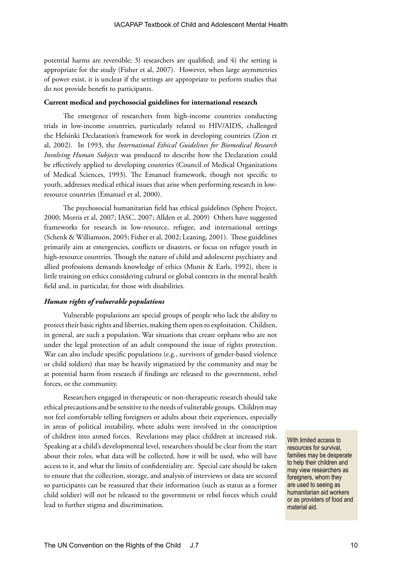potential harms are reversible; 3) researchers are qualified; and 4) the setting is appropriate for the study (Fisher et al, 2007). However, when large asymmetries of power exist, it is unclear if the settings are appropriate to perform studies that do not provide benefit to participants.

#### **Current medical and psychosocial guidelines for international research**

The emergence of researchers from high-income countries conducting trials in low-income countries, particularly related to HIV/AIDS, challenged the Helsinki Declaration's framework for work in developing countries (Zion et al, 2002). In 1993, the *International Ethical Guidelines for Biomedical Research Involving Human Subjects* was produced to describe how the Declaration could be effectively applied to developing countries (Council of Medical Organizations of Medical Sciences, 1993). The Emanuel framework, though not specific to youth, addresses medical ethical issues that arise when performing research in lowresource countries (Emanuel et al, 2000).

The psychosocial humanitarian field has ethical guidelines (Sphere Project, 2000; Morris et al, 2007; IASC, 2007; Allden et al, 2009) Others have suggested frameworks for research in low-resource, refugee, and international settings (Schenk & Williamson, 2005; Fisher et al, 2002; Leaning, 2001). These guidelines primarily aim at emergencies, conflicts or disasters, or focus on refugee youth in high-resource countries. Though the nature of child and adolescent psychiatry and allied professions demands knowledge of ethics (Munir & Earls, 1992), there is little training on ethics considering cultural or global contexts in the mental health field and, in particular, for those with disabilities.

#### *Human rights of vulnerable populations*

Vulnerable populations are special groups of people who lack the ability to protect their basic rights and liberties, making them open to exploitation. Children, in general, are such a population. War situations that create orphans who are not under the legal protection of an adult compound the issue of rights protection. War can also include specific populations (e.g., survivors of gender-based violence or child soldiers) that may be heavily stigmatized by the community and may be at potential harm from research if findings are released to the government, rebel forces, or the community.

Researchers engaged in therapeutic or non-therapeutic research should take ethical precautions and be sensitive to the needs of vulnerable groups. Children may not feel comfortable telling foreigners or adults about their experiences, especially in areas of political instability, where adults were involved in the conscription of children into armed forces. Revelations may place children at increased risk. Speaking at a child's developmental level, researchers should be clear from the start about their roles, what data will be collected, how it will be used, who will have access to it, and what the limits of confidentiality are. Special care should be taken to ensure that the collection, storage, and analysis of interviews or data are secured so participants can be reassured that their information (such as status as a former child soldier) will not be released to the government or rebel forces which could lead to further stigma and discrimination.

With limited access to resources for survival, families may be desperate to help their children and may view researchers as foreigners, whom they are used to seeing as humanitarian aid workers or as providers of food and material aid.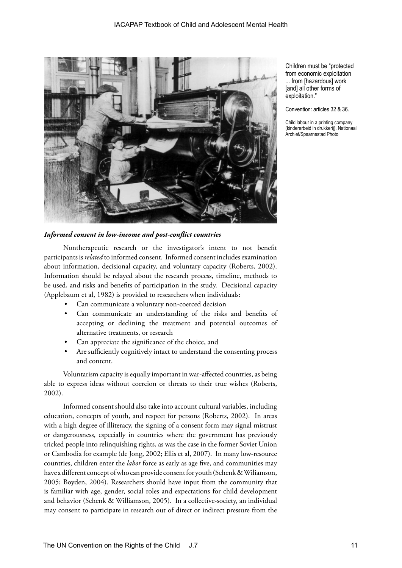

Children must be "protected from economic exploitation ... from [hazardous] work [and] all other forms of exploitation."

Convention: articles 32 & 36.

Child labour in a printing company (kinderarbeid in drukkerij). Nationaal Archief/Spaarnestad Photo

#### *Informed consent in low-income and post-conflict countries*

Nontherapeutic research or the investigator's intent to not benefit participants is *related* to informed consent. Informed consent includes examination about information, decisional capacity, and voluntary capacity (Roberts, 2002). Information should be relayed about the research process, timeline, methods to be used, and risks and benefits of participation in the study. Decisional capacity (Applebaum et al, 1982) is provided to researchers when individuals:

- Can communicate a voluntary non-coerced decision
- Can communicate an understanding of the risks and benefits of accepting or declining the treatment and potential outcomes of alternative treatments, or research
- Can appreciate the significance of the choice, and
- Are sufficiently cognitively intact to understand the consenting process and content.

Voluntarism capacity is equally important in war-affected countries, as being able to express ideas without coercion or threats to their true wishes (Roberts, 2002).

Informed consent should also take into account cultural variables, including education, concepts of youth, and respect for persons (Roberts, 2002). In areas with a high degree of illiteracy, the signing of a consent form may signal mistrust or dangerousness, especially in countries where the government has previously tricked people into relinquishing rights, as was the case in the former Soviet Union or Cambodia for example (de Jong, 2002; Ellis et al, 2007). In many low-resource countries, children enter the *labor* force as early as age five, and communities may have a different concept of who can provide consent for youth (Schenk & Wiliamson, 2005; Boyden, 2004). Researchers should have input from the community that is familiar with age, gender, social roles and expectations for child development and behavior (Schenk & Williamson, 2005). In a collective-society, an individual may consent to participate in research out of direct or indirect pressure from the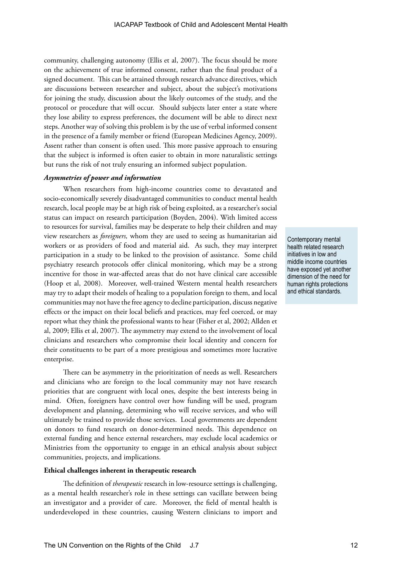community, challenging autonomy (Ellis et al, 2007). The focus should be more on the achievement of true informed consent, rather than the final product of a signed document. This can be attained through research advance directives, which are discussions between researcher and subject, about the subject's motivations for joining the study, discussion about the likely outcomes of the study, and the protocol or procedure that will occur. Should subjects later enter a state where they lose ability to express preferences, the document will be able to direct next steps. Another way of solving this problem is by the use of verbal informed consent in the presence of a family member or friend (European Medicines Agency, 2009). Assent rather than consent is often used. This more passive approach to ensuring that the subject is informed is often easier to obtain in more naturalistic settings but runs the risk of not truly ensuring an informed subject population.

#### *Asymmetries of power and information*

When researchers from high-income countries come to devastated and socio-economically severely disadvantaged communities to conduct mental health research, local people may be at high risk of being exploited, as a researcher's social status can impact on research participation (Boyden, 2004). With limited access to resources for survival, families may be desperate to help their children and may view researchers as *foreigners,* whom they are used to seeing as humanitarian aid workers or as providers of food and material aid. As such, they may interpret participation in a study to be linked to the provision of assistance. Some child psychiatry research protocols offer clinical monitoring, which may be a strong incentive for those in war-affected areas that do not have clinical care accessible (Hoop et al, 2008). Moreover, well-trained Western mental health researchers may try to adapt their models of healing to a population foreign to them, and local communities may not have the free agency to decline participation, discuss negative effects or the impact on their local beliefs and practices, may feel coerced, or may report what they think the professional wants to hear (Fisher et al, 2002; Allden et al, 2009; Ellis et al, 2007). The asymmetry may extend to the involvement of local clinicians and researchers who compromise their local identity and concern for their constituents to be part of a more prestigious and sometimes more lucrative enterprise.

There can be asymmetry in the prioritization of needs as well. Researchers and clinicians who are foreign to the local community may not have research priorities that are congruent with local ones, despite the best interests being in mind. Often, foreigners have control over how funding will be used, program development and planning, determining who will receive services, and who will ultimately be trained to provide those services. Local governments are dependent on donors to fund research on donor-determined needs. This dependence on external funding and hence external researchers, may exclude local academics or Ministries from the opportunity to engage in an ethical analysis about subject communities, projects, and implications.

#### **Ethical challenges inherent in therapeutic research**

The definition of *therapeutic* research in low-resource settings is challenging, as a mental health researcher's role in these settings can vacillate between being an investigator and a provider of care. Moreover, the field of mental health is underdeveloped in these countries, causing Western clinicians to import and

Contemporary mental health related research initiatives in low and middle income countries have exposed yet another dimension of the need for human rights protections and ethical standards.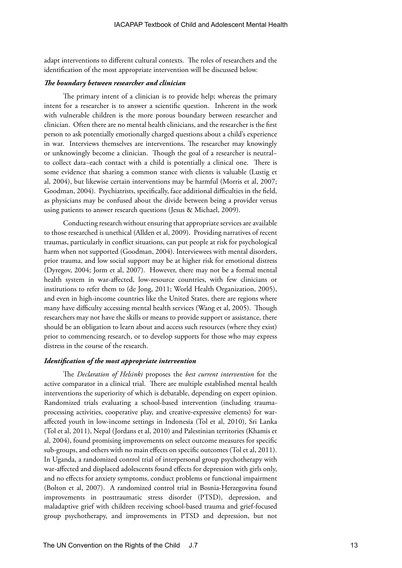adapt interventions to different cultural contexts. The roles of researchers and the identification of the most appropriate intervention will be discussed below.

#### *The boundary between researcher and clinician*

The primary intent of a clinician is to provide help; whereas the primary intent for a researcher is to answer a scientific question. Inherent in the work with vulnerable children is the more porous boundary between researcher and clinician. Often there are no mental health clinicians, and the researcher is the first person to ask potentially emotionally charged questions about a child's experience in war. Interviews themselves are interventions. The researcher may knowingly or unknowingly become a clinician. Though the goal of a researcher is neutral− to collect data−each contact with a child is potentially a clinical one. There is some evidence that sharing a common stance with clients is valuable (Lustig et al, 2004), but likewise certain interventions may be harmful (Morris et al, 2007; Goodman, 2004). Psychiatrists, specifically, face additional difficulties in the field, as physicians may be confused about the divide between being a provider versus using patients to answer research questions (Jesus & Michael, 2009).

Conducting research without ensuring that appropriate services are available to those researched is unethical (Allden et al, 2009). Providing narratives of recent traumas, particularly in conflict situations, can put people at risk for psychological harm when not supported (Goodman, 2004). Interviewees with mental disorders, prior trauma, and low social support may be at higher risk for emotional distress (Dyregov, 2004; Jorm et al, 2007). However, there may not be a formal mental health system in war-affected, low-resource countries, with few clinicians or institutions to refer them to (de Jong, 2011; World Health Organization, 2005), and even in high-income countries like the United States, there are regions where many have difficulty accessing mental health services (Wang et al, 2005). Though researchers may not have the skills or means to provide support or assistance, there should be an obligation to learn about and access such resources (where they exist) prior to commencing research, or to develop supports for those who may express distress in the course of the research.

### *Identification of the most appropriate intervention*

The *Declaration of Helsinki* proposes the *best current intervention* for the active comparator in a clinical trial. There are multiple established mental health interventions the superiority of which is debatable, depending on expert opinion. Randomized trials evaluating a school-based intervention (including traumaprocessing activities, cooperative play, and creative-expressive elements) for waraffected youth in low-income settings in Indonesia (Tol et al, 2010), Sri Lanka (Tol et al, 2011), Nepal (Jordans et al, 2010) and Palestinian territories (Khamis et al, 2004), found promising improvements on select outcome measures for specific sub-groups, and others with no main effects on specific outcomes (Tol et al, 2011). In Uganda, a randomized control trial of interpersonal group psychotherapy with war-affected and displaced adolescents found effects for depression with girls only, and no effects for anxiety symptoms, conduct problems or functional impairment (Bolton et al, 2007). A randomized control trial in Bosnia-Herzegovina found improvements in posttraumatic stress disorder (PTSD), depression, and maladaptive grief with children receiving school-based trauma and grief-focused group psychotherapy, and improvements in PTSD and depression, but not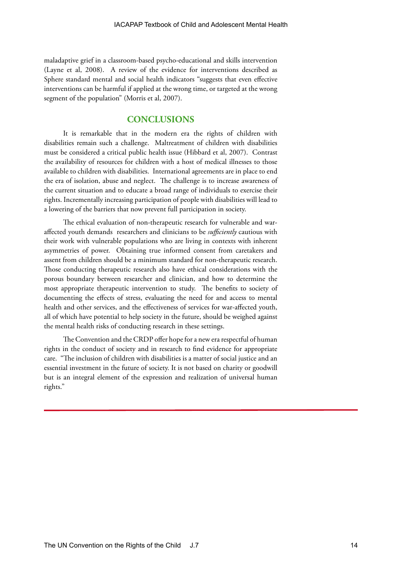maladaptive grief in a classroom-based psycho-educational and skills intervention (Layne et al, 2008). A review of the evidence for interventions described as Sphere standard mental and social health indicators "suggests that even effective interventions can be harmful if applied at the wrong time, or targeted at the wrong segment of the population" (Morris et al, 2007).

# **CONCLUSIONS**

It is remarkable that in the modern era the rights of children with disabilities remain such a challenge. Maltreatment of children with disabilities must be considered a critical public health issue (Hibbard et al, 2007). Contrast the availability of resources for children with a host of medical illnesses to those available to children with disabilities. International agreements are in place to end the era of isolation, abuse and neglect. The challenge is to increase awareness of the current situation and to educate a broad range of individuals to exercise their rights. Incrementally increasing participation of people with disabilities will lead to a lowering of the barriers that now prevent full participation in society.

The ethical evaluation of non-therapeutic research for vulnerable and waraffected youth demands researchers and clinicians to be *sufficiently* cautious with their work with vulnerable populations who are living in contexts with inherent asymmetries of power. Obtaining true informed consent from caretakers and assent from children should be a minimum standard for non-therapeutic research. Those conducting therapeutic research also have ethical considerations with the porous boundary between researcher and clinician, and how to determine the most appropriate therapeutic intervention to study. The benefits to society of documenting the effects of stress, evaluating the need for and access to mental health and other services, and the effectiveness of services for war-affected youth, all of which have potential to help society in the future, should be weighed against the mental health risks of conducting research in these settings.

The Convention and the CRDP offer hope for a new era respectful of human rights in the conduct of society and in research to find evidence for appropriate care. "The inclusion of children with disabilities is a matter of social justice and an essential investment in the future of society. It is not based on charity or goodwill but is an integral element of the expression and realization of universal human rights."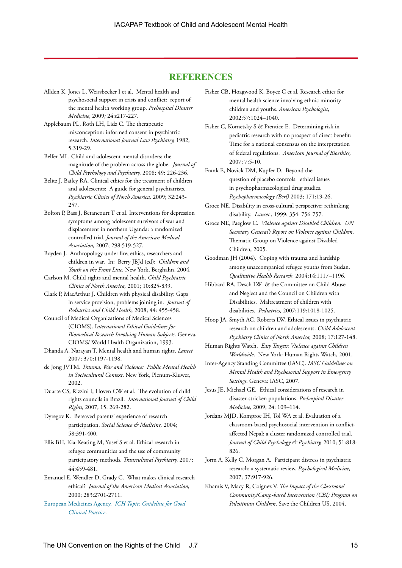# **REFERENCES**

- Allden K, Jones L, Weissbecker I et al. Mental health and psychosocial support in crisis and conflict: report of the mental health working group. *Prehospital Disaster Medicine*, 2009*;* 24:s217-227.
- Applebaum PL, Roth LH, Lidz C. The therapeutic misconception: informed consent in psychiatric research. *International Journal Law Psychiatry,* 1982; 5:319-29.
- Belfer ML. Child and adolescent mental disorders: the magnitude of the problem across the globe. *Journal of Child Psychology and Psychiatry,* 2008; 49: 226-236.
- Belitz J, Bailey RA. Clinical ethics for the treatment of children and adolescents: A guide for general psychiatrists. *Psychiatric Clinics of North America,* 2009; 32:243- 257.
- Bolton P, Bass J, Betancourt T et al. Interventions for depression symptoms among adolescent survivors of war and displacement in northern Uganda: a randomized controlled trial. *Journal of the American Medical Association,* 2007; 298:519-527.
- Boyden J. Anthropology under fire; ethics, researchers and children in war. In: Berry JBJd (ed): *Children and Youth on the Front Line*. New York, Berghahn, 2004.
- Carlson M. Child rights and mental health. *Child Psychiatric Clinics of North America,* 2001; 10:825-839.
- Clark P, MacArthur J. Children with physical disability: Gaps in service provision, problems joining in. *Journal of Pediatrics and Child Health*, 2008; 44: 455-458.
- Council of Medical Organizations of Medical Sciences (CIOMS). I*nternational Ethical Guidelines for Biomedical Research Involving Human Subjects*. Geneva, CIOMS/ World Health Organization, 1993.
- Dhanda A, Narayan T. Mental health and human rights. *Lancet* 2007; 370:1197-1198.
- de Jong JVTM. *Trauma, War and Violence: Public Mental Health in Sociocultural Context*. New York, Plenum-Kluwer, 2002.
- Duarte CS, Rizzini I, Hoven CW et al. The evolution of child rights councils in Brazil. *International Journal of Child Rights*, 2007; 15: 269-282.
- Dyregov K. Bereaved parents' experience of research participation. *Social Science & Medicine,* 2004; 58:391-400.
- Ellis BH, Kia-Keating M, Yusef S et al. Ethical research in refugee communities and the use of community participatory methods. *Transcultural Psychiatry,* 2007; 44:459-481.
- Emanuel E, Wendler D, Grady C. What makes clinical research ethical? *Journal of the American Medical Association,*  2000; 283:2701-2711.
- European Medicines Agency. *[ICH Topic: Guideline for Good](http://www.ema.europa.eu/docs/en_GB/document_library/Scientific_guideline/2009/09/WC500002874.pdf)  [Clinical Practice](http://www.ema.europa.eu/docs/en_GB/document_library/Scientific_guideline/2009/09/WC500002874.pdf)*.
- Fisher CB, Hoagwood K, Boyce C et al. Research ethics for mental health science involving ethnic minority children and youths. *American Psychologist*, 2002;57:1024–1040.
- Fisher C, Kornetsky S & Prentice E. Determining risk in pediatric research with no prospect of direct benefit: Time for a national consensus on the interpretation of federal regulations. *American Journal of Bioethics,* 2007; 7:5-10.
- Frank E, Novick DM, Kupfer D. Beyond the question of placebo controls: ethical issues in psychopharmacological drug studies. *Psychopharmacology (Berl)* 2003; 171:19-26.
- Groce NE. Disability in cross-cultural perspective: rethinking disability. *Lancet* , 1999; 354: 756-757.
- Groce NE, Paeglow C. *Violence against Disabled Children. UN Secretary General's Report on Violence against Children*. Thematic Group on Violence against Disabled Children, 2005.
- Goodman JH (2004). Coping with trauma and hardship among unaccompanied refugee youths from Sudan. *Qualitative Health Research,* 2004;14:1117–1196.
- Hibbard RA, Desch LW & the Committee on Child Abuse and Neglect and the Council on Children with Disabilities. Maltreatment of children with disabilities. *Pediatrics,* 2007;119:1018-1025.
- Hoop JA, Smyth AC, Roberts LW. Ethical issues in psychiatric research on children and adolescents. *Child Adolescent Psychiatry Clinics of North America,* 2008; 17:127-148.
- Human Rights Watch. *Easy Targets: Violence against Children Worldwide*. New York: Human Rights Watch, 2001.
- Inter-Agency Standing Committee (IASC). *IASC Guidelines on Mental Health and Psychosocial Support in Emergency Settings*. Geneva: IASC, 2007.
- Jesus JE, Michael GE. Ethical considerations of research in disaster-stricken populations. *Prehospital Disaster Medicine,* 2009; 24: 109–114.
- Jordans MJD, Komproe IH, Tol WA et al. Evaluation of a classroom-based psychosocial intervention in conflictaffected Nepal: a cluster randomized controlled trial. *Journal of Child Psychology & Psychiatry,* 2010; 51:818- 826.
- Jorm A, Kelly C, Morgan A. Participant distress in psychiatric research: a systematic review. *Psychological Medicine,* 2007; 37:917-926.
- Khamis V, Macy R, Coignez V. *The Impact of the Classroom/ Community/Camp-based Intervention (CBI) Program on Palestinian Children*. Save the Children US, 2004.